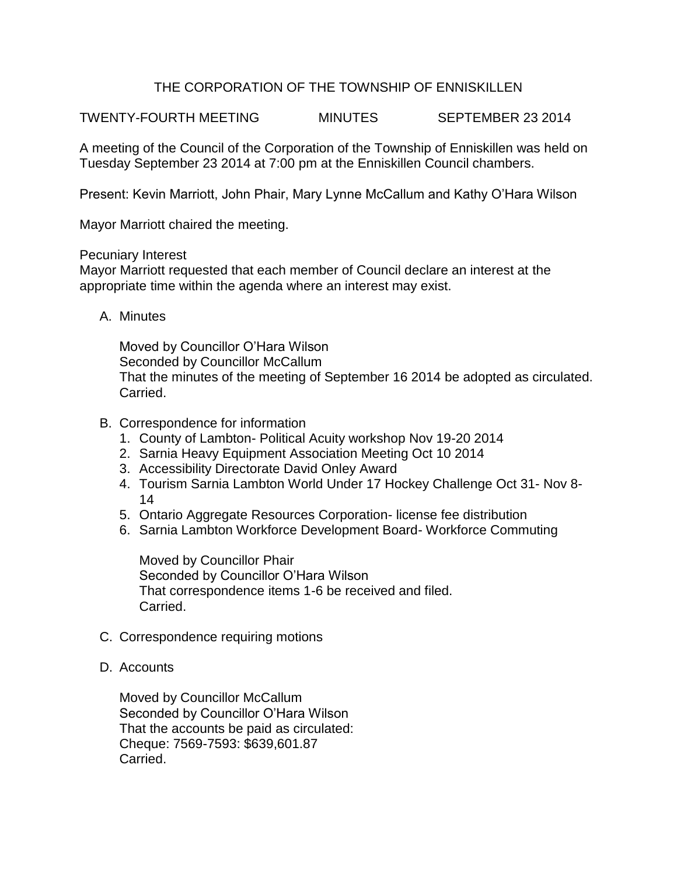## THE CORPORATION OF THE TOWNSHIP OF ENNISKILLEN

TWENTY-FOURTH MEETING MINUTES SEPTEMBER 23 2014

A meeting of the Council of the Corporation of the Township of Enniskillen was held on Tuesday September 23 2014 at 7:00 pm at the Enniskillen Council chambers.

Present: Kevin Marriott, John Phair, Mary Lynne McCallum and Kathy O'Hara Wilson

Mayor Marriott chaired the meeting.

## Pecuniary Interest

Mayor Marriott requested that each member of Council declare an interest at the appropriate time within the agenda where an interest may exist.

A. Minutes

Moved by Councillor O'Hara Wilson Seconded by Councillor McCallum That the minutes of the meeting of September 16 2014 be adopted as circulated. Carried.

- B. Correspondence for information
	- 1. County of Lambton- Political Acuity workshop Nov 19-20 2014
	- 2. Sarnia Heavy Equipment Association Meeting Oct 10 2014
	- 3. Accessibility Directorate David Onley Award
	- 4. Tourism Sarnia Lambton World Under 17 Hockey Challenge Oct 31- Nov 8- 14
	- 5. Ontario Aggregate Resources Corporation- license fee distribution
	- 6. Sarnia Lambton Workforce Development Board- Workforce Commuting

Moved by Councillor Phair Seconded by Councillor O'Hara Wilson That correspondence items 1-6 be received and filed. Carried.

- C. Correspondence requiring motions
- D. Accounts

Moved by Councillor McCallum Seconded by Councillor O'Hara Wilson That the accounts be paid as circulated: Cheque: 7569-7593: \$639,601.87 Carried.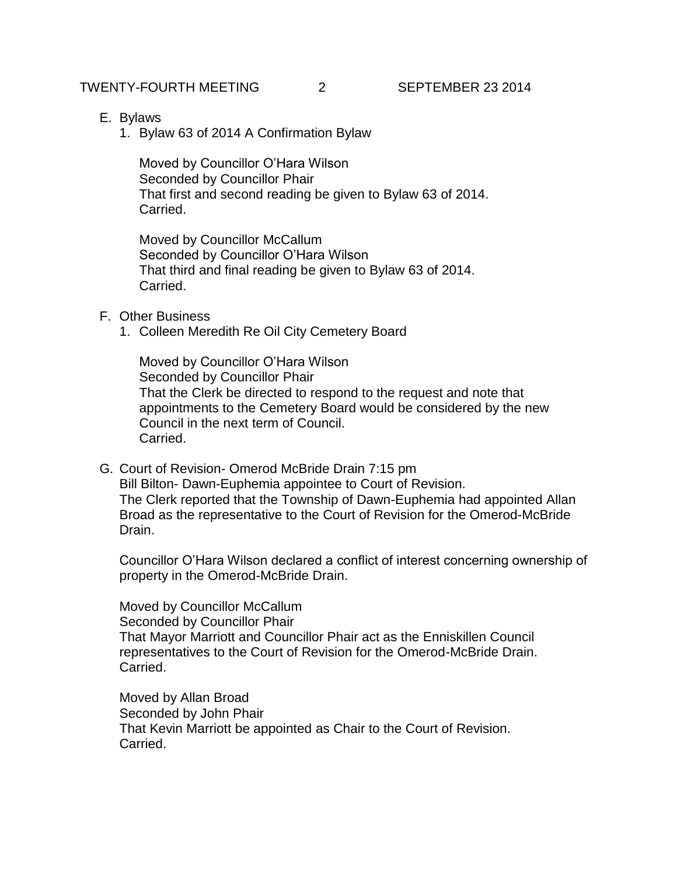- E. Bylaws
	- 1. Bylaw 63 of 2014 A Confirmation Bylaw

Moved by Councillor O'Hara Wilson Seconded by Councillor Phair That first and second reading be given to Bylaw 63 of 2014. Carried.

Moved by Councillor McCallum Seconded by Councillor O'Hara Wilson That third and final reading be given to Bylaw 63 of 2014. Carried.

## F. Other Business

1. Colleen Meredith Re Oil City Cemetery Board

Moved by Councillor O'Hara Wilson Seconded by Councillor Phair That the Clerk be directed to respond to the request and note that appointments to the Cemetery Board would be considered by the new Council in the next term of Council. Carried.

G. Court of Revision- Omerod McBride Drain 7:15 pm Bill Bilton- Dawn-Euphemia appointee to Court of Revision. The Clerk reported that the Township of Dawn-Euphemia had appointed Allan Broad as the representative to the Court of Revision for the Omerod-McBride Drain.

Councillor O'Hara Wilson declared a conflict of interest concerning ownership of property in the Omerod-McBride Drain.

Moved by Councillor McCallum Seconded by Councillor Phair That Mayor Marriott and Councillor Phair act as the Enniskillen Council representatives to the Court of Revision for the Omerod-McBride Drain. Carried.

Moved by Allan Broad Seconded by John Phair That Kevin Marriott be appointed as Chair to the Court of Revision. Carried.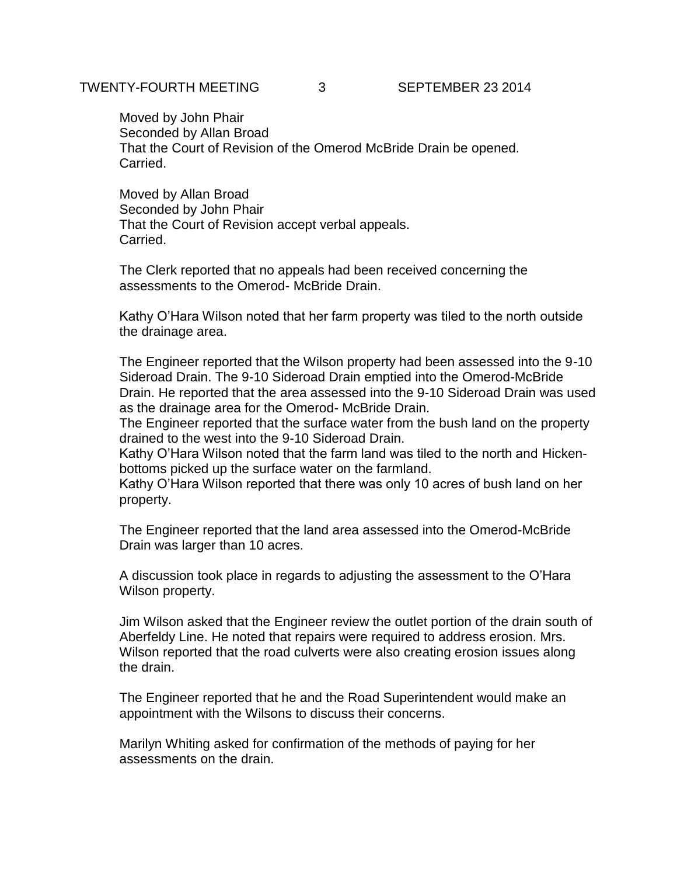Moved by John Phair Seconded by Allan Broad That the Court of Revision of the Omerod McBride Drain be opened. Carried.

Moved by Allan Broad Seconded by John Phair That the Court of Revision accept verbal appeals. Carried.

The Clerk reported that no appeals had been received concerning the assessments to the Omerod- McBride Drain.

Kathy O'Hara Wilson noted that her farm property was tiled to the north outside the drainage area.

The Engineer reported that the Wilson property had been assessed into the 9-10 Sideroad Drain. The 9-10 Sideroad Drain emptied into the Omerod-McBride Drain. He reported that the area assessed into the 9-10 Sideroad Drain was used as the drainage area for the Omerod- McBride Drain.

The Engineer reported that the surface water from the bush land on the property drained to the west into the 9-10 Sideroad Drain.

Kathy O'Hara Wilson noted that the farm land was tiled to the north and Hickenbottoms picked up the surface water on the farmland.

Kathy O'Hara Wilson reported that there was only 10 acres of bush land on her property.

The Engineer reported that the land area assessed into the Omerod-McBride Drain was larger than 10 acres.

A discussion took place in regards to adjusting the assessment to the O'Hara Wilson property.

Jim Wilson asked that the Engineer review the outlet portion of the drain south of Aberfeldy Line. He noted that repairs were required to address erosion. Mrs. Wilson reported that the road culverts were also creating erosion issues along the drain.

The Engineer reported that he and the Road Superintendent would make an appointment with the Wilsons to discuss their concerns.

Marilyn Whiting asked for confirmation of the methods of paying for her assessments on the drain.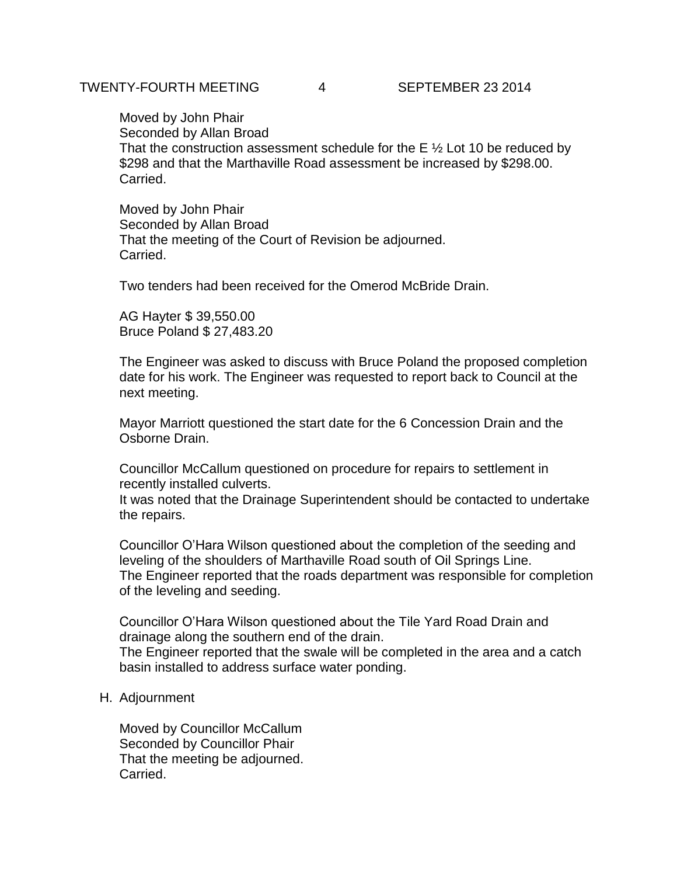Moved by John Phair Seconded by Allan Broad That the construction assessment schedule for the  $E \frac{1}{2}$  Lot 10 be reduced by \$298 and that the Marthaville Road assessment be increased by \$298.00. Carried.

Moved by John Phair Seconded by Allan Broad That the meeting of the Court of Revision be adjourned. Carried.

Two tenders had been received for the Omerod McBride Drain.

AG Hayter \$ 39,550.00 Bruce Poland \$ 27,483.20

The Engineer was asked to discuss with Bruce Poland the proposed completion date for his work. The Engineer was requested to report back to Council at the next meeting.

Mayor Marriott questioned the start date for the 6 Concession Drain and the Osborne Drain.

Councillor McCallum questioned on procedure for repairs to settlement in recently installed culverts.

It was noted that the Drainage Superintendent should be contacted to undertake the repairs.

Councillor O'Hara Wilson questioned about the completion of the seeding and leveling of the shoulders of Marthaville Road south of Oil Springs Line. The Engineer reported that the roads department was responsible for completion of the leveling and seeding.

Councillor O'Hara Wilson questioned about the Tile Yard Road Drain and drainage along the southern end of the drain.

The Engineer reported that the swale will be completed in the area and a catch basin installed to address surface water ponding.

H. Adjournment

Moved by Councillor McCallum Seconded by Councillor Phair That the meeting be adjourned. Carried.